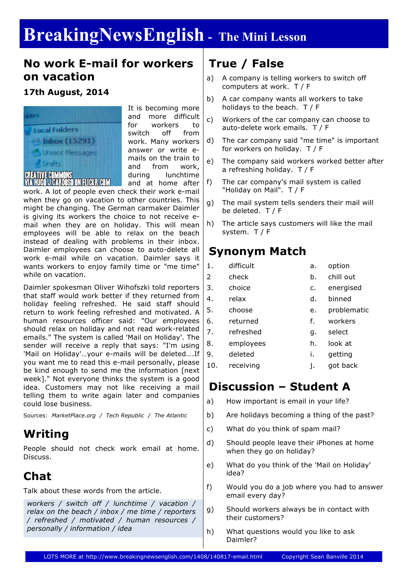# **BreakingNewsEnglish - The Mini Lesson**

### **No work E-mail for workers on vacation**

### **17th August, 2014**



It is becoming more and more difficult for workers to switch off from work. Many workers answer or write emails on the train to and from work, during lunchtime and at home after

work. A lot of people even check their work e-mail when they go on vacation to other countries. This might be changing. The German carmaker Daimler is giving its workers the choice to not receive email when they are on holiday. This will mean employees will be able to relax on the beach instead of dealing with problems in their inbox. Daimler employees can choose to auto-delete all work e-mail while on vacation. Daimler says it wants workers to enjoy family time or "me time" while on vacation.

Daimler spokesman Oliver Wihofszki told reporters that staff would work better if they returned from holiday feeling refreshed. He said staff should return to work feeling refreshed and motivated. A human resources officer said: "Our employees should relax on holiday and not read work-related emails." The system is called 'Mail on Holiday'. The sender will receive a reply that says: "I'm using 'Mail on Holiday'…your e-mails will be deleted….If you want me to read this e-mail personally, please be kind enough to send me the information [next week]." Not everyone thinks the system is a good idea. Customers may not like receiving a mail telling them to write again later and companies could lose business.

Sources: *MarketPlace.org / Tech Republic / The Atlantic*

# **Writing**

People should not check work email at home. Discuss.

# **Chat**

Talk about these words from the article.

*workers / switch off / lunchtime / vacation / relax on the beach / inbox / me time / reporters / refreshed / motivated / human resources / personally / information / idea*

# **True / False**

- a) A company is telling workers to switch off computers at work. T / F
- b) A car company wants all workers to take holidays to the beach. T / F
- c) Workers of the car company can choose to auto-delete work emails. T / F
- d) The car company said "me time" is important for workers on holiday. T / F
- e) The company said workers worked better after a refreshing holiday. T / F
- f) The car company's mail system is called "Holiday on Mail". T / F
- g) The mail system tells senders their mail will be deleted. T / F
- h) The article says customers will like the mail system. T / F

### **Synonym Match**

- 1. difficult a. option
	-
- 2 check b. chill out
- 3. choice c. energised
- 4. relax d. binned
	-
- 5. choose e. problematic
- 6. returned f. workers
- 7. refreshed g. select
- 8. employees h. look at
- 9. deleted i. getting
- 10. receiving i. got back

# **Discussion – Student A**

- a) How important is email in your life?
- b) Are holidays becoming a thing of the past?
- c) What do you think of spam mail?
- d) Should people leave their iPhones at home when they go on holiday?
- e) What do you think of the 'Mail on Holiday' idea?
- f) Would you do a job where you had to answer email every day?
- g) Should workers always be in contact with their customers?
- h) What questions would you like to ask Daimler?